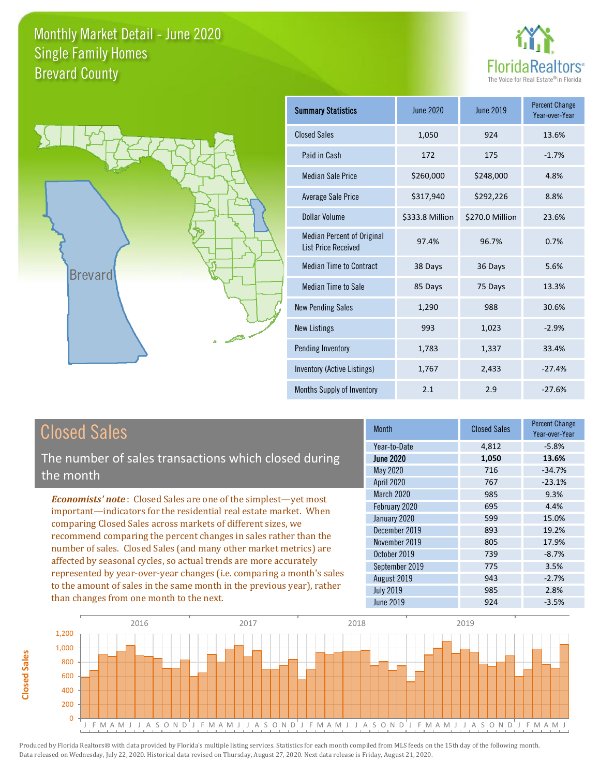



| <b>Summary Statistics</b>                                       | <b>June 2020</b> | June 2019       | <b>Percent Change</b><br>Year-over-Year |
|-----------------------------------------------------------------|------------------|-----------------|-----------------------------------------|
| <b>Closed Sales</b>                                             | 1,050            | 924             | 13.6%                                   |
| Paid in Cash                                                    | 172              | 175             | $-1.7%$                                 |
| <b>Median Sale Price</b>                                        | \$260,000        | \$248,000       | 4.8%                                    |
| <b>Average Sale Price</b>                                       | \$317,940        | \$292,226       | 8.8%                                    |
| Dollar Volume                                                   | \$333.8 Million  | \$270.0 Million | 23.6%                                   |
| <b>Median Percent of Original</b><br><b>List Price Received</b> | 97.4%            | 96.7%           | 0.7%                                    |
| <b>Median Time to Contract</b>                                  | 38 Days          | 36 Days         | 5.6%                                    |
| <b>Median Time to Sale</b>                                      | 85 Days          | 75 Days         | 13.3%                                   |
| <b>New Pending Sales</b>                                        | 1,290            | 988             | 30.6%                                   |
| <b>New Listings</b>                                             | 993              | 1,023           | $-2.9%$                                 |
| Pending Inventory                                               | 1,783            | 1,337           | 33.4%                                   |
| Inventory (Active Listings)                                     | 1,767            | 2,433           | $-27.4%$                                |
| Months Supply of Inventory                                      | 2.1              | 2.9             | $-27.6%$                                |

# Closed Sales

**Closed Sales**

**Closed Sales** 

The number of sales transactions which closed during the month

*Economists' note* : Closed Sales are one of the simplest—yet most important—indicators for the residential real estate market. When comparing Closed Sales across markets of different sizes, we recommend comparing the percent changes in sales rather than the number of sales. Closed Sales (and many other market metrics) are affected by seasonal cycles, so actual trends are more accurately represented by year-over-year changes (i.e. comparing a month's sales to the amount of sales in the same month in the previous year), rather than changes from one month to the next.

| <b>Month</b>     | <b>Closed Sales</b> | <b>Percent Change</b><br>Year-over-Year |
|------------------|---------------------|-----------------------------------------|
| Year-to-Date     | 4,812               | $-5.8%$                                 |
| <b>June 2020</b> | 1,050               | 13.6%                                   |
| May 2020         | 716                 | $-34.7%$                                |
| April 2020       | 767                 | $-23.1%$                                |
| March 2020       | 985                 | 9.3%                                    |
| February 2020    | 695                 | 4.4%                                    |
| January 2020     | 599                 | 15.0%                                   |
| December 2019    | 893                 | 19.2%                                   |
| November 2019    | 805                 | 17.9%                                   |
| October 2019     | 739                 | $-8.7%$                                 |
| September 2019   | 775                 | 3.5%                                    |
| August 2019      | 943                 | $-2.7%$                                 |
| <b>July 2019</b> | 985                 | 2.8%                                    |
| <b>June 2019</b> | 924                 | $-3.5%$                                 |

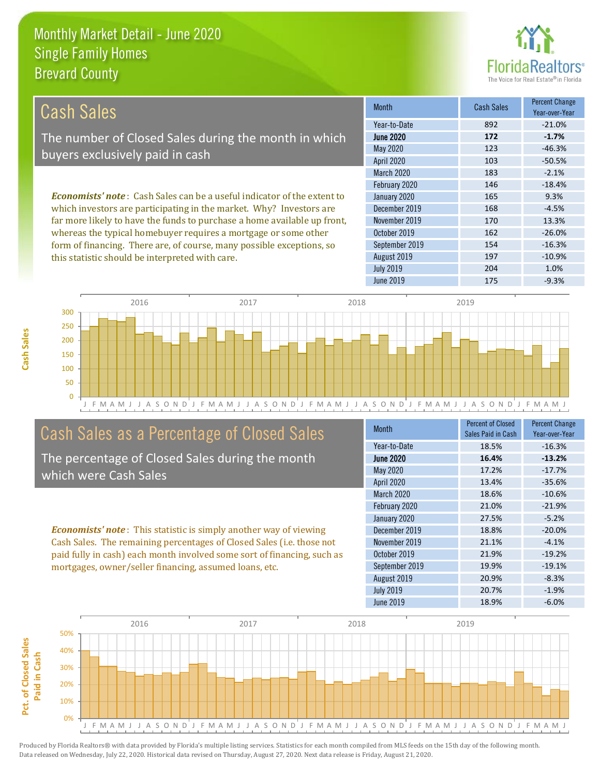this statistic should be interpreted with care.



197 -10.9%

| Cash Sales                                                                     | <b>Month</b>      | <b>Cash Sales</b> | <b>Percent Change</b><br>Year-over-Year |
|--------------------------------------------------------------------------------|-------------------|-------------------|-----------------------------------------|
|                                                                                | Year-to-Date      | 892               | $-21.0%$                                |
| The number of Closed Sales during the month in which                           | <b>June 2020</b>  | 172               | $-1.7%$                                 |
| buyers exclusively paid in cash                                                | May 2020          | 123               | $-46.3%$                                |
|                                                                                | <b>April 2020</b> | 103               | $-50.5%$                                |
|                                                                                | <b>March 2020</b> | 183               | $-2.1%$                                 |
|                                                                                | February 2020     | 146               | $-18.4%$                                |
| <b>Economists' note:</b> Cash Sales can be a useful indicator of the extent to | January 2020      | 165               | 9.3%                                    |
| which investors are participating in the market. Why? Investors are            | December 2019     | 168               | $-4.5%$                                 |
| far more likely to have the funds to purchase a home available up front,       | November 2019     | 170               | 13.3%                                   |
| whereas the typical homebuyer requires a mortgage or some other                | October 2019      | 162               | $-26.0%$                                |
| form of financing. There are, of course, many possible exceptions, so          | September 2019    | 154               | $-16.3%$                                |

August 2019



# Cash Sales as a Percentage of Closed Sales

The percentage of Closed Sales during the month which were Cash Sales

*Economists' note* : This statistic is simply another way of viewing Cash Sales. The remaining percentages of Closed Sales (i.e. those not paid fully in cash) each month involved some sort of financing, such as mortgages, owner/seller financing, assumed loans, etc.

| Month            | <b>Percent of Closed</b><br>Sales Paid in Cash | <b>Percent Change</b><br>Year-over-Year |
|------------------|------------------------------------------------|-----------------------------------------|
| Year-to-Date     | 18.5%                                          | $-16.3%$                                |
| <b>June 2020</b> | 16.4%                                          | $-13.2%$                                |
| May 2020         | 17.2%                                          | $-17.7%$                                |
| April 2020       | 13.4%                                          | $-35.6%$                                |
| March 2020       | 18.6%                                          | $-10.6%$                                |
| February 2020    | 21.0%                                          | $-21.9%$                                |
| January 2020     | 27.5%                                          | $-5.2%$                                 |
| December 2019    | 18.8%                                          | $-20.0%$                                |
| November 2019    | 21.1%                                          | $-4.1%$                                 |
| October 2019     | 21.9%                                          | $-19.2%$                                |
| September 2019   | 19.9%                                          | $-19.1%$                                |
| August 2019      | 20.9%                                          | $-8.3%$                                 |
| <b>July 2019</b> | 20.7%                                          | $-1.9%$                                 |
| <b>June 2019</b> | 18.9%                                          | $-6.0%$                                 |

July 2019 204 204 1.0%

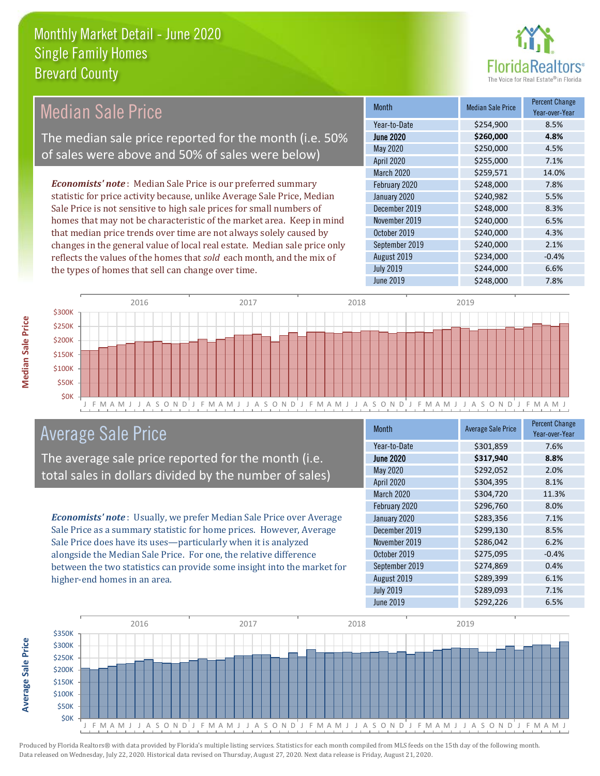

#### Month Median Sale Price Percent Change Year-over-Year June 2020 **\$260,000 4.8%** Year-to-Date \$254,900 8.5% November 2019 **\$240,000** \$240,000 6.5% May 2020 \$250,000 \$250,000 4.5% April 2020 \$255,000 7.1% January 2020 **5240,982** 5.5% December 2019 **\$248,000** 8.3% March 2020 \$259,571 14.0% February 2020 \$248,000 \$248,000 7.8% October 2019 **\$240,000** \$240,000 4.3% September 2019 **\$240,000** 2.1% August 2019 **\$234,000** -0.4% July 2019 **\$244,000 6.6%** June 2019 **\$248,000** \$248,000 7.8% *Economists' note* : Median Sale Price is our preferred summary statistic for price activity because, unlike Average Sale Price, Median Sale Price is not sensitive to high sale prices for small numbers of homes that may not be characteristic of the market area. Keep in mind that median price trends over time are not always solely caused by changes in the general value of local real estate. Median sale price only reflects the values of the homes that *sold* each month, and the mix of the types of homes that sell can change over time. 2016 2017 2018 2019 Median Sale Price The median sale price reported for the month (i.e. 50% of sales were above and 50% of sales were below)



# Average Sale Price

The average sale price reported for the month (i.e. total sales in dollars divided by the number of sales)

*Economists' note* : Usually, we prefer Median Sale Price over Average Sale Price as a summary statistic for home prices. However, Average Sale Price does have its uses—particularly when it is analyzed alongside the Median Sale Price. For one, the relative difference between the two statistics can provide some insight into the market for higher-end homes in an area.

| Month             | <b>Average Sale Price</b> | <b>Percent Change</b><br>Year-over-Year |
|-------------------|---------------------------|-----------------------------------------|
| Year-to-Date      | \$301,859                 | 7.6%                                    |
| <b>June 2020</b>  | \$317,940                 | 8.8%                                    |
| May 2020          | \$292,052                 | 2.0%                                    |
| <b>April 2020</b> | \$304,395                 | 8.1%                                    |
| March 2020        | \$304,720                 | 11.3%                                   |
| February 2020     | \$296,760                 | 8.0%                                    |
| January 2020      | \$283,356                 | 7.1%                                    |
| December 2019     | \$299,130                 | 8.5%                                    |
| November 2019     | \$286,042                 | 6.2%                                    |
| October 2019      | \$275,095                 | $-0.4%$                                 |
| September 2019    | \$274,869                 | 0.4%                                    |
| August 2019       | \$289,399                 | 6.1%                                    |
| <b>July 2019</b>  | \$289,093                 | 7.1%                                    |
| <b>June 2019</b>  | \$292,226                 | 6.5%                                    |

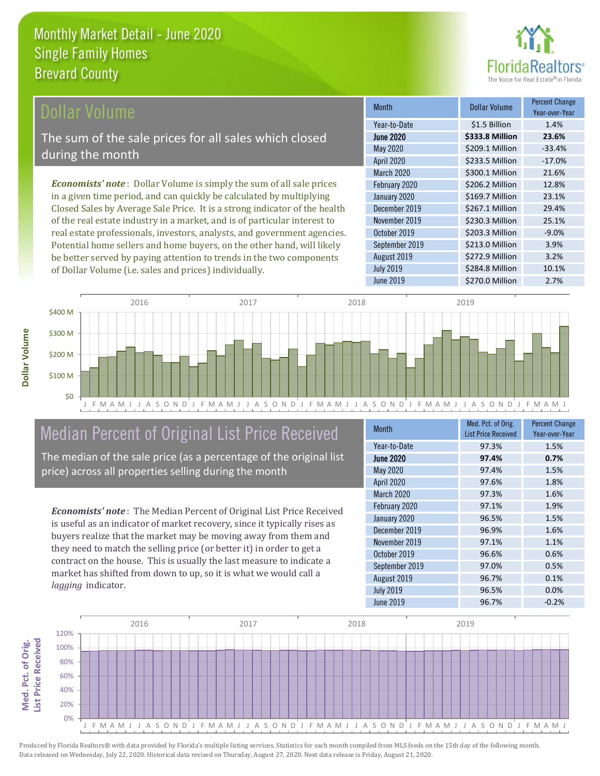

## ollar Volume

The sum of the sale prices for all sales which closed during the month

*Economists' note* : Dollar Volume is simply the sum of all sale prices in a given time period, and can quickly be calculated by multiplying Closed Sales by Average Sale Price. It is a strong indicator of the health of the real estate industry in a market, and is of particular interest to real estate professionals, investors, analysts, and government agencies. Potential home sellers and home buyers, on the other hand, will likely be better served by paying attention to trends in the two components of Dollar Volume (i.e. sales and prices) individually.

| <b>Month</b>      | <b>Dollar Volume</b> | <b>Percent Change</b><br>Year-over-Year |
|-------------------|----------------------|-----------------------------------------|
| Year-to-Date      | \$1.5 Billion        | 1.4%                                    |
| <b>June 2020</b>  | \$333.8 Million      | 23.6%                                   |
| May 2020          | \$209.1 Million      | $-33.4%$                                |
| <b>April 2020</b> | \$233.5 Million      | $-17.0%$                                |
| March 2020        | \$300.1 Million      | 21.6%                                   |
| February 2020     | \$206.2 Million      | 12.8%                                   |
| January 2020      | \$169.7 Million      | 23.1%                                   |
| December 2019     | \$267.1 Million      | 29.4%                                   |
| November 2019     | \$230.3 Million      | 25.1%                                   |
| October 2019      | \$203.3 Million      | $-9.0%$                                 |
| September 2019    | \$213.0 Million      | 3.9%                                    |
| August 2019       | \$272.9 Million      | 3.2%                                    |
| <b>July 2019</b>  | \$284.8 Million      | 10.1%                                   |
| <b>June 2019</b>  | \$270.0 Million      | 2.7%                                    |



# Median Percent of Original List Price Received

The median of the sale price (as a percentage of the original list price) across all properties selling during the month

*Economists' note* : The Median Percent of Original List Price Received is useful as an indicator of market recovery, since it typically rises as buyers realize that the market may be moving away from them and they need to match the selling price (or better it) in order to get a contract on the house. This is usually the last measure to indicate a market has shifted from down to up, so it is what we would call a *lagging* indicator.

| <b>Month</b>      | Med. Pct. of Orig.<br><b>List Price Received</b> | <b>Percent Change</b><br>Year-over-Year |
|-------------------|--------------------------------------------------|-----------------------------------------|
| Year-to-Date      | 97.3%                                            | 1.5%                                    |
| <b>June 2020</b>  | 97.4%                                            | 0.7%                                    |
| May 2020          | 97.4%                                            | 1.5%                                    |
| <b>April 2020</b> | 97.6%                                            | 1.8%                                    |
| March 2020        | 97.3%                                            | 1.6%                                    |
| February 2020     | 97.1%                                            | 1.9%                                    |
| January 2020      | 96.5%                                            | 1.5%                                    |
| December 2019     | 96.9%                                            | 1.6%                                    |
| November 2019     | 97.1%                                            | 1.1%                                    |
| October 2019      | 96.6%                                            | 0.6%                                    |
| September 2019    | 97.0%                                            | 0.5%                                    |
| August 2019       | 96.7%                                            | 0.1%                                    |
| <b>July 2019</b>  | 96.5%                                            | 0.0%                                    |
| <b>June 2019</b>  | 96.7%                                            | $-0.2%$                                 |



Produced by Florida Realtors® with data provided by Florida's multiple listing services. Statistics for each month compiled from MLS feeds on the 15th day of the following month. Data released on Wednesday, July 22, 2020. Historical data revised on Thursday, August 27, 2020. Next data release is Friday, August 21, 2020.

**Med. Pct. of Orig.** 

Med. Pct. of Orig.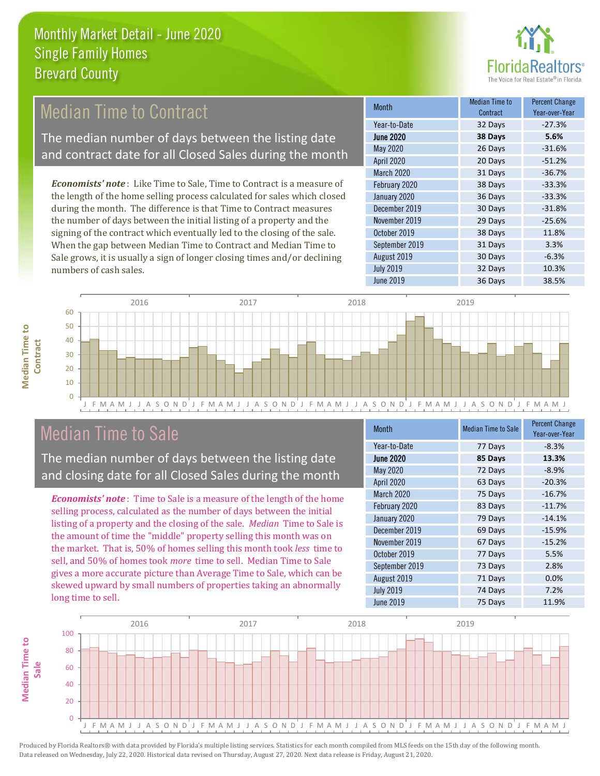

# Median Time to Contract

The median number of days between the listing date and contract date for all Closed Sales during the month

*Economists' note* : Like Time to Sale, Time to Contract is a measure of the length of the home selling process calculated for sales which closed during the month. The difference is that Time to Contract measures the number of days between the initial listing of a property and the signing of the contract which eventually led to the closing of the sale. When the gap between Median Time to Contract and Median Time to Sale grows, it is usually a sign of longer closing times and/or declining numbers of cash sales.

| <b>Month</b>     | Median Time to<br>Contract | <b>Percent Change</b><br>Year-over-Year |
|------------------|----------------------------|-----------------------------------------|
| Year-to-Date     | 32 Days                    | $-27.3%$                                |
| <b>June 2020</b> | 38 Days                    | 5.6%                                    |
| May 2020         | 26 Days                    | $-31.6%$                                |
| April 2020       | 20 Days                    | $-51.2%$                                |
| March 2020       | 31 Days                    | $-36.7%$                                |
| February 2020    | 38 Days                    | $-33.3%$                                |
| January 2020     | 36 Days                    | $-33.3%$                                |
| December 2019    | 30 Days                    | $-31.8%$                                |
| November 2019    | 29 Days                    | $-25.6%$                                |
| October 2019     | 38 Days                    | 11.8%                                   |
| September 2019   | 31 Days                    | 3.3%                                    |
| August 2019      | 30 Days                    | $-6.3%$                                 |
| <b>July 2019</b> | 32 Days                    | 10.3%                                   |
| <b>June 2019</b> | 36 Days                    | 38.5%                                   |





# Median Time to Sale

The median number of days between the listing date and closing date for all Closed Sales during the month

*Economists' note* : Time to Sale is a measure of the length of the home selling process, calculated as the number of days between the initial listing of a property and the closing of the sale. *Median* Time to Sale is the amount of time the "middle" property selling this month was on the market. That is, 50% of homes selling this month took *less* time to sell, and 50% of homes took *more* time to sell. Median Time to Sale gives a more accurate picture than Average Time to Sale, which can be skewed upward by small numbers of properties taking an abnormally long time to sell.

| <b>Month</b>      | <b>Median Time to Sale</b> | <b>Percent Change</b><br>Year-over-Year |
|-------------------|----------------------------|-----------------------------------------|
| Year-to-Date      | 77 Days                    | $-8.3%$                                 |
| <b>June 2020</b>  | 85 Days                    | 13.3%                                   |
| <b>May 2020</b>   | 72 Days                    | $-8.9%$                                 |
| <b>April 2020</b> | 63 Days                    | $-20.3%$                                |
| March 2020        | 75 Days                    | $-16.7%$                                |
| February 2020     | 83 Days                    | $-11.7%$                                |
| January 2020      | 79 Days                    | $-14.1%$                                |
| December 2019     | 69 Days                    | $-15.9%$                                |
| November 2019     | 67 Days                    | $-15.2%$                                |
| October 2019      | 77 Days                    | 5.5%                                    |
| September 2019    | 73 Days                    | 2.8%                                    |
| August 2019       | 71 Days                    | 0.0%                                    |
| <b>July 2019</b>  | 74 Days                    | 7.2%                                    |
| <b>June 2019</b>  | 75 Days                    | 11.9%                                   |

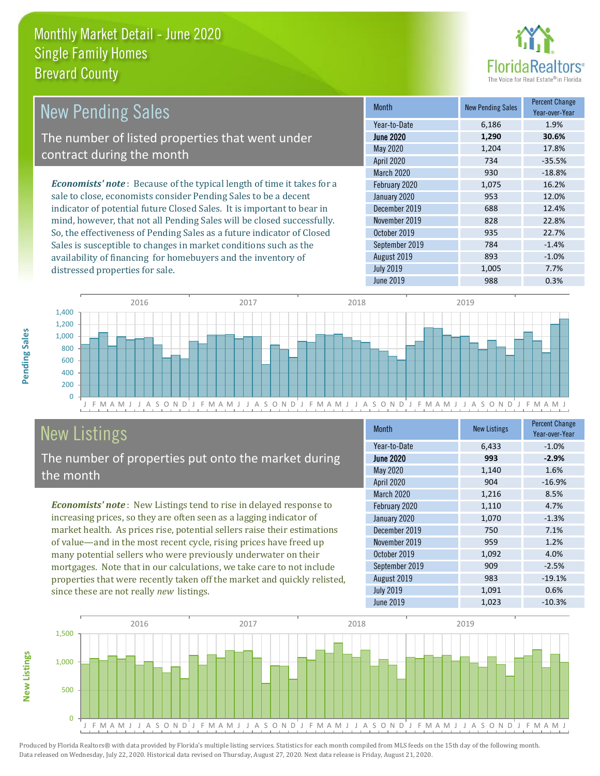distressed properties for sale.



| New Pending Sales                                                              | <b>Month</b>      | <b>New Pending Sales</b> | <b>Percent Change</b><br>Year-over-Year |
|--------------------------------------------------------------------------------|-------------------|--------------------------|-----------------------------------------|
|                                                                                | Year-to-Date      | 6,186                    | 1.9%                                    |
| The number of listed properties that went under                                | <b>June 2020</b>  | 1,290                    | 30.6%                                   |
| contract during the month                                                      | May 2020          | 1,204                    | 17.8%                                   |
|                                                                                | <b>April 2020</b> | 734                      | $-35.5%$                                |
|                                                                                | <b>March 2020</b> | 930                      | $-18.8%$                                |
| <b>Economists' note</b> : Because of the typical length of time it takes for a | February 2020     | 1,075                    | 16.2%                                   |
| sale to close, economists consider Pending Sales to be a decent                | January 2020      | 953                      | 12.0%                                   |
| indicator of potential future Closed Sales. It is important to bear in         | December 2019     | 688                      | 12.4%                                   |
| mind, however, that not all Pending Sales will be closed successfully.         | November 2019     | 828                      | 22.8%                                   |
| So, the effectiveness of Pending Sales as a future indicator of Closed         | October 2019      | 935                      | 22.7%                                   |
| Sales is susceptible to changes in market conditions such as the               | September 2019    | 784                      | $-1.4%$                                 |



# New Listings

The number of properties put onto the market during the month

availability of financing for homebuyers and the inventory of

*Economists' note* : New Listings tend to rise in delayed response to increasing prices, so they are often seen as a lagging indicator of market health. As prices rise, potential sellers raise their estimations of value—and in the most recent cycle, rising prices have freed up many potential sellers who were previously underwater on their mortgages. Note that in our calculations, we take care to not include properties that were recently taken off the market and quickly relisted, since these are not really *new* listings.

| <b>Month</b>     | <b>New Listings</b> | <b>Percent Change</b><br>Year-over-Year |
|------------------|---------------------|-----------------------------------------|
| Year-to-Date     | 6,433               | $-1.0%$                                 |
| <b>June 2020</b> | 993                 | $-2.9%$                                 |
| May 2020         | 1,140               | 1.6%                                    |
| April 2020       | 904                 | $-16.9%$                                |
| March 2020       | 1,216               | 8.5%                                    |
| February 2020    | 1,110               | 4.7%                                    |
| January 2020     | 1,070               | $-1.3%$                                 |
| December 2019    | 750                 | 7.1%                                    |
| November 2019    | 959                 | 1.2%                                    |
| October 2019     | 1,092               | 4.0%                                    |
| September 2019   | 909                 | $-2.5%$                                 |
| August 2019      | 983                 | $-19.1%$                                |
| <b>July 2019</b> | 1,091               | 0.6%                                    |
| <b>June 2019</b> | 1,023               | $-10.3%$                                |

August 2019 **893** -1.0% July 2019 1,005 1,005 7.7%



Produced by Florida Realtors® with data provided by Florida's multiple listing services. Statistics for each month compiled from MLS feeds on the 15th day of the following month. Data released on Wednesday, July 22, 2020. Historical data revised on Thursday, August 27, 2020. Next data release is Friday, August 21, 2020.

**New Listings**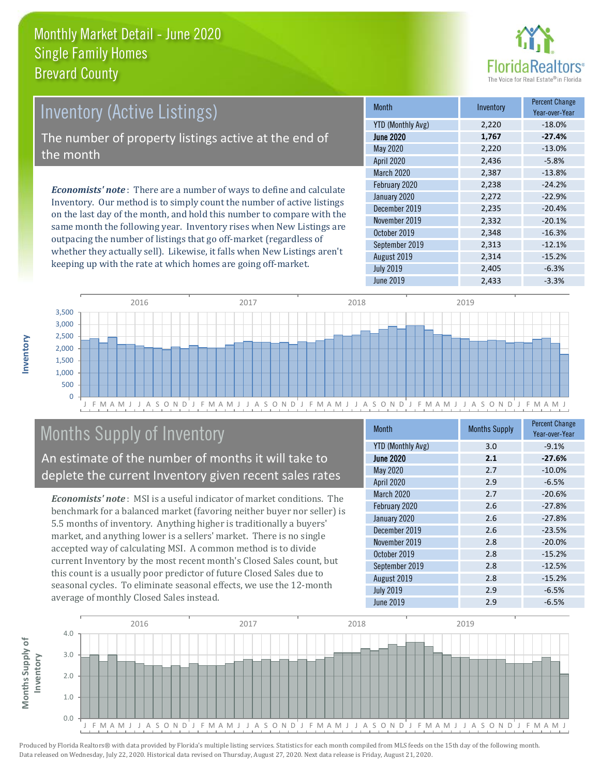

# Inventory (Active Listings)

The number of property listings active at the end of the month

*Economists' note* : There are a number of ways to define and calculate Inventory. Our method is to simply count the number of active listings on the last day of the month, and hold this number to compare with the same month the following year. Inventory rises when New Listings are outpacing the number of listings that go off-market (regardless of whether they actually sell). Likewise, it falls when New Listings aren't keeping up with the rate at which homes are going off-market.

| Month                    | Inventory | <b>Percent Change</b><br>Year-over-Year |
|--------------------------|-----------|-----------------------------------------|
| <b>YTD (Monthly Avg)</b> | 2,220     | $-18.0%$                                |
| <b>June 2020</b>         | 1,767     | $-27.4%$                                |
| May 2020                 | 2,220     | $-13.0%$                                |
| <b>April 2020</b>        | 2,436     | $-5.8%$                                 |
| <b>March 2020</b>        | 2,387     | $-13.8%$                                |
| February 2020            | 2,238     | $-24.2%$                                |
| January 2020             | 2,272     | $-22.9%$                                |
| December 2019            | 2,235     | $-20.4%$                                |
| November 2019            | 2,332     | $-20.1%$                                |
| October 2019             | 2,348     | $-16.3%$                                |
| September 2019           | 2,313     | $-12.1%$                                |
| August 2019              | 2,314     | $-15.2%$                                |
| <b>July 2019</b>         | 2,405     | $-6.3%$                                 |
| June 2019                | 2,433     | $-3.3%$                                 |



# Months Supply of Inventory

An estimate of the number of months it will take to deplete the current Inventory given recent sales rates

*Economists' note* : MSI is a useful indicator of market conditions. The benchmark for a balanced market (favoring neither buyer nor seller) is 5.5 months of inventory. Anything higher is traditionally a buyers' market, and anything lower is a sellers' market. There is no single accepted way of calculating MSI. A common method is to divide current Inventory by the most recent month's Closed Sales count, but this count is a usually poor predictor of future Closed Sales due to seasonal cycles. To eliminate seasonal effects, we use the 12-month average of monthly Closed Sales instead.

| <b>Month</b>             | <b>Months Supply</b> | <b>Percent Change</b><br>Year-over-Year |
|--------------------------|----------------------|-----------------------------------------|
| <b>YTD (Monthly Avg)</b> | 3.0                  | $-9.1%$                                 |
| <b>June 2020</b>         | 2.1                  | $-27.6%$                                |
| May 2020                 | 2.7                  | $-10.0%$                                |
| <b>April 2020</b>        | 2.9                  | $-6.5%$                                 |
| <b>March 2020</b>        | 2.7                  | $-20.6%$                                |
| February 2020            | 2.6                  | $-27.8%$                                |
| January 2020             | 2.6                  | $-27.8%$                                |
| December 2019            | 2.6                  | $-23.5%$                                |
| November 2019            | 2.8                  | $-20.0%$                                |
| October 2019             | 2.8                  | $-15.2%$                                |
| September 2019           | 2.8                  | $-12.5%$                                |
| August 2019              | 2.8                  | $-15.2%$                                |
| <b>July 2019</b>         | 2.9                  | $-6.5%$                                 |
| <b>June 2019</b>         | 2.9                  | $-6.5%$                                 |

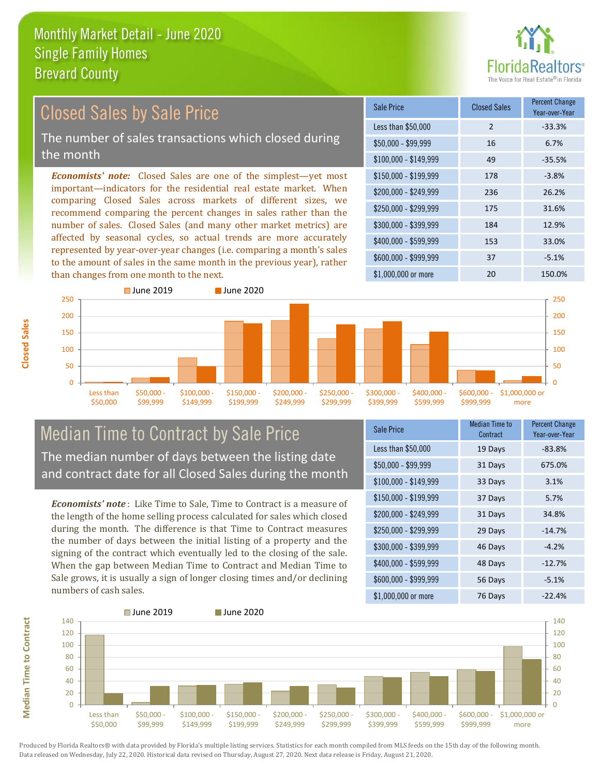

#### *Economists' note:* Closed Sales are one of the simplest—yet most important—indicators for the residential real estate market. When comparing Closed Sales across markets of different sizes, we recommend comparing the percent changes in sales rather than the number of sales. Closed Sales (and many other market metrics) are affected by seasonal cycles, so actual trends are more accurately represented by year-over-year changes (i.e. comparing a month's sales to the amount of sales in the same month in the previous year), rather than changes from one month to the next. \$1,000,000 or more 20 150.0% \$250,000 - \$299,999 175 31.6% \$300,000 - \$399,999 184 12.9% \$400,000 - \$599,999 153 33.0% \$600,000 - \$999,999 37 -5.1% \$150,000 - \$199,999 178 -3.8% \$200,000 - \$249,999 236 26.2% \$100,000 - \$149,999 49 -35.5% Sale Price Closed Sales Percent Change Year-over-Year Less than \$50,000 2 33.3%  $$50,000 - $99,999$  16 6.7% 200 250 ■ June 2019 **■ June 2020** 150 200 250 Closed Sales by Sale Price The number of sales transactions which closed during the month

#### $\Omega$ 50 100 150 Less than \$50,000 \$50,000 - \$99,999 \$100,000 \$149,999 \$150,000 - \$199,999 \$200,000 - \$249,999 \$250,000 - \$299,999 \$300,000 - \$399,999 \$400,000 - \$599,999 \$600,000 - \$999,999 \$1,000,000 or Median Time to Contract by Sale Price

The median number of days between the listing date and contract date for all Closed Sales during the month

*Economists' note* : Like Time to Sale, Time to Contract is a measure of the length of the home selling process calculated for sales which closed during the month. The difference is that Time to Contract measures the number of days between the initial listing of a property and the signing of the contract which eventually led to the closing of the sale. When the gap between Median Time to Contract and Median Time to Sale grows, it is usually a sign of longer closing times and/or declining numbers of cash sales.

| Sale Price            | <b>Median Time to</b><br>Contract | <b>Percent Change</b><br>Year-over-Year |
|-----------------------|-----------------------------------|-----------------------------------------|
| Less than \$50,000    | 19 Days                           | $-83.8%$                                |
| $$50,000 - $99,999$   | 31 Days                           | 675.0%                                  |
| $$100,000 - $149,999$ | 33 Days                           | 3.1%                                    |
| $$150,000 - $199,999$ | 37 Days                           | 5.7%                                    |
| \$200,000 - \$249,999 | 31 Days                           | 34.8%                                   |
| \$250,000 - \$299,999 | 29 Days                           | $-14.7%$                                |
| \$300,000 - \$399,999 | 46 Days                           | $-4.2%$                                 |
| \$400,000 - \$599,999 | 48 Days                           | $-12.7%$                                |
| \$600,000 - \$999,999 | 56 Days                           | $-5.1%$                                 |
| \$1,000,000 or more   | 76 Days                           | $-22.4%$                                |

more

 $\Omega$ 50 100



**Closed Sales**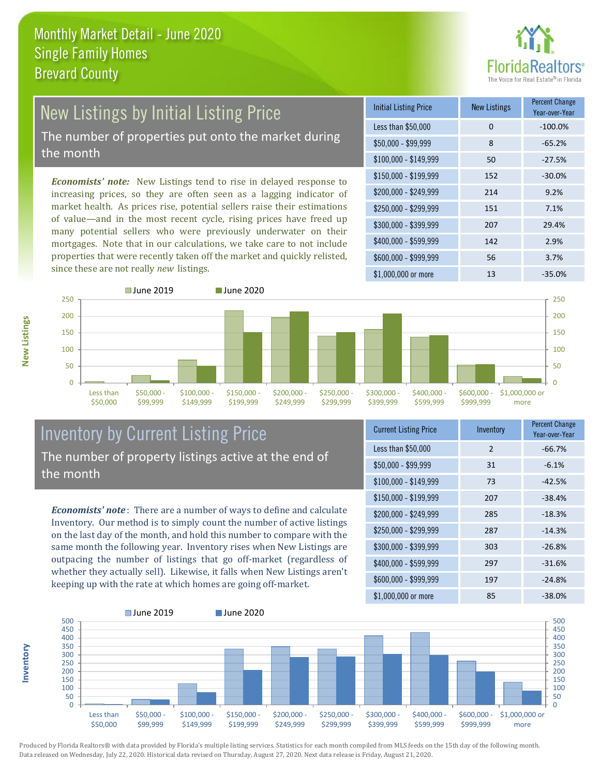

# New Listings by Initial Listing Price The number of properties put onto the market during

the month

*Economists' note:* New Listings tend to rise in delayed response to increasing prices, so they are often seen as a lagging indicator of market health. As prices rise, potential sellers raise their estimations of value—and in the most recent cycle, rising prices have freed up many potential sellers who were previously underwater on their mortgages. Note that in our calculations, we take care to not include properties that were recently taken off the market and quickly relisted, since these are not really *new* listings.

| <b>Initial Listing Price</b> | <b>New Listings</b> | <b>Percent Change</b><br>Year-over-Year |
|------------------------------|---------------------|-----------------------------------------|
| Less than \$50,000           | $\Omega$            | $-100.0%$                               |
| $$50,000 - $99,999$          | 8                   | $-65.2%$                                |
| $$100,000 - $149,999$        | 50                  | $-27.5%$                                |
| $$150,000 - $199,999$        | 152                 | $-30.0%$                                |
| \$200,000 - \$249,999        | 214                 | 9.2%                                    |
| \$250,000 - \$299,999        | 151                 | 7.1%                                    |
| \$300,000 - \$399,999        | 207                 | 29.4%                                   |
| \$400,000 - \$599,999        | 142                 | 2.9%                                    |
| \$600,000 - \$999,999        | 56                  | 3.7%                                    |
| \$1,000,000 or more          | 13                  | $-35.0%$                                |



### Inventory by Current Listing Price The number of property listings active at the end of the month

*Economists' note* : There are a number of ways to define and calculate Inventory. Our method is to simply count the number of active listings on the last day of the month, and hold this number to compare with the same month the following year. Inventory rises when New Listings are outpacing the number of listings that go off-market (regardless of whether they actually sell). Likewise, it falls when New Listings aren't keeping up with the rate at which homes are going off-market.

| <b>Current Listing Price</b> | Inventory     | <b>Percent Change</b><br>Year-over-Year |
|------------------------------|---------------|-----------------------------------------|
| Less than \$50,000           | $\mathcal{P}$ | $-66.7%$                                |
| $$50,000 - $99,999$          | 31            | $-6.1%$                                 |
| $$100,000 - $149,999$        | 73            | $-42.5%$                                |
| $$150,000 - $199,999$        | 207           | $-38.4%$                                |
| \$200,000 - \$249,999        | 285           | $-18.3%$                                |
| \$250,000 - \$299,999        | 287           | $-14.3%$                                |
| \$300,000 - \$399,999        | 303           | $-26.8%$                                |
| \$400,000 - \$599,999        | 297           | $-31.6%$                                |
| \$600,000 - \$999,999        | 197           | $-24.8%$                                |
| \$1,000,000 or more          | 85            | $-38.0%$                                |



Produced by Florida Realtors® with data provided by Florida's multiple listing services. Statistics for each month compiled from MLS feeds on the 15th day of the following month. Data released on Wednesday, July 22, 2020. Historical data revised on Thursday, August 27, 2020. Next data release is Friday, August 21, 2020.

**Inventory**